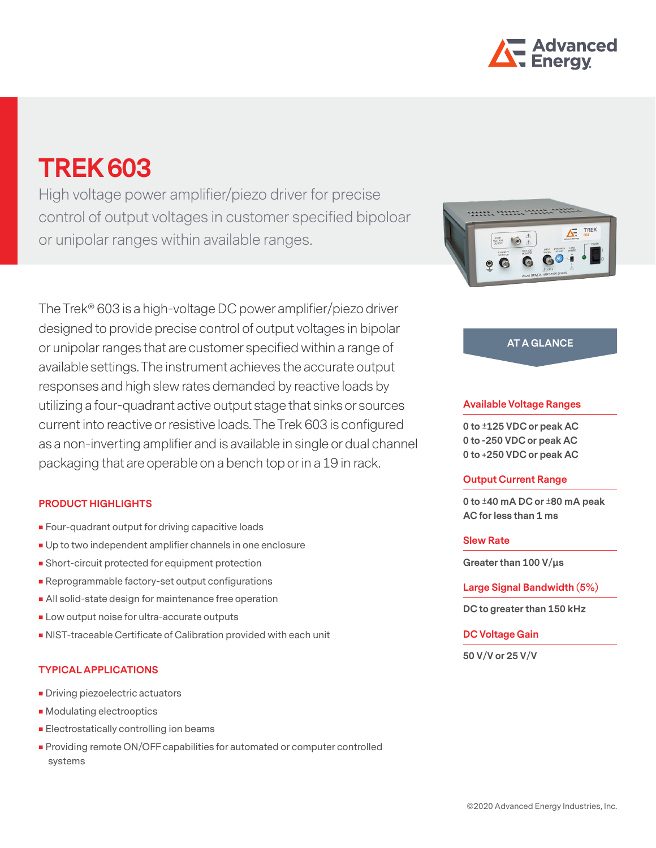

# **TREK 603**

High voltage power amplifier/piezo driver for precise control of output voltages in customer specified bipoloar or unipolar ranges within available ranges.

The Trek® 603 is a high-voltage DC power amplifier/piezo driver designed to provide precise control of output voltages in bipolar or unipolar ranges that are customer specified within a range of available settings. The instrument achieves the accurate output responses and high slew rates demanded by reactive loads by utilizing a four-quadrant active output stage that sinks or sources current into reactive or resistive loads. The Trek 603 is configured as a non-inverting amplifier and is available in single or dual channel packaging that are operable on a bench top or in a 19 in rack.

## **PRODUCT HIGHLIGHTS**

- **Four-quadrant output for driving capacitive loads**
- Up to two independent amplifier channels in one enclosure
- Short-circuit protected for equipment protection
- Reprogrammable factory-set output configurations
- All solid-state design for maintenance free operation
- **Low output noise for ultra-accurate outputs**
- NIST-traceable Certificate of Calibration provided with each unit

## **TYPICAL APPLICATIONS**

- **Driving piezoelectric actuators**
- **Modulating electrooptics**
- **Electrostatically controlling ion beams**
- **Providing remote ON/OFF capabilities for automated or computer controlled** systems



## **AT A GLANCE**

#### **Available Voltage Ranges**

**0 to ±125 VDC or peak AC 0 to -250 VDC or peak AC 0 to +250 VDC or peak AC**

#### **Output Current Range**

**0 to ±40 mA DC or ±80 mA peak AC for less than 1 ms**

#### **Slew Rate**

**Greater than 100 V/μs**

**Large Signal Bandwidth (5%)**

**DC to greater than 150 kHz**

## **DC Voltage Gain**

**50 V/V or 25 V/V**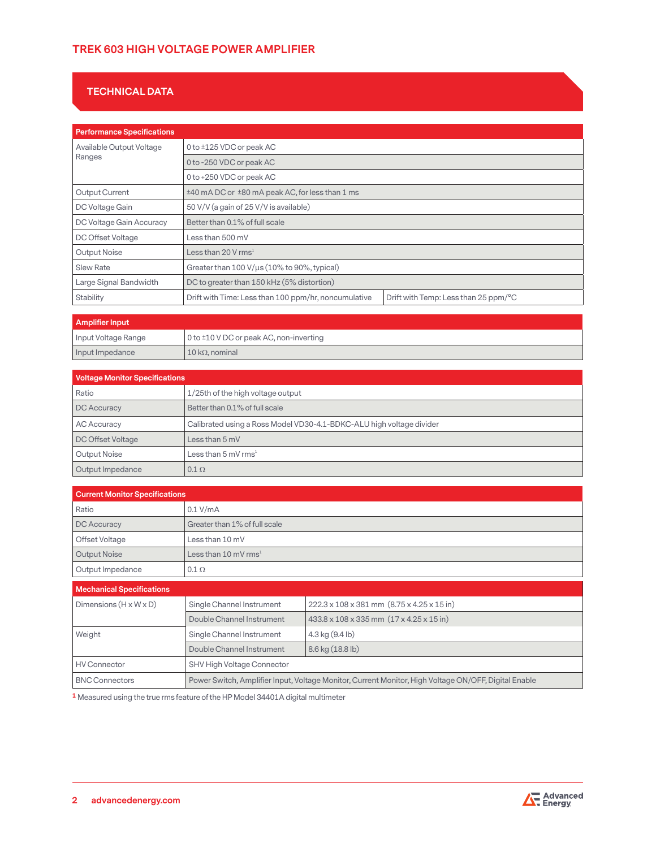# **TREK 603 HIGH VOLTAGE POWER AMPLIFIER**

# **TECHNICAL DATA**

| <b>Performance Specifications</b>  |                                                      |                                      |
|------------------------------------|------------------------------------------------------|--------------------------------------|
| Available Output Voltage<br>Ranges | 0 to ±125 VDC or peak AC                             |                                      |
|                                    | 0 to -250 VDC or peak AC                             |                                      |
|                                    | 0 to +250 VDC or peak AC                             |                                      |
| Output Current                     | ±40 mA DC or ±80 mA peak AC, for less than 1 ms      |                                      |
| DC Voltage Gain                    | 50 V/V (a gain of 25 V/V is available)               |                                      |
| DC Voltage Gain Accuracy           | Better than 0.1% of full scale                       |                                      |
| DC Offset Voltage                  | Less than 500 mV                                     |                                      |
| Output Noise                       | Less than 20 V rms <sup>1</sup>                      |                                      |
| Slew Rate                          | Greater than 100 V/us (10% to 90%, typical)          |                                      |
| Large Signal Bandwidth             | DC to greater than 150 kHz (5% distortion)           |                                      |
| Stability                          | Drift with Time: Less than 100 ppm/hr, noncumulative | Drift with Temp: Less than 25 ppm/°C |

| <b>Amplifier Input</b> |                                         |
|------------------------|-----------------------------------------|
| Input Voltage Range    | 0 to ±10 V DC or peak AC, non-inverting |
| Input Impedance        | $10 \text{ k}\Omega$ , nominal          |

| <b>Voltage Monitor Specifications</b> |                                                                      |
|---------------------------------------|----------------------------------------------------------------------|
| Ratio                                 | 1/25th of the high voltage output                                    |
| DC Accuracy                           | Better than 0.1% of full scale                                       |
| <b>AC Accuracy</b>                    | Calibrated using a Ross Model VD30-4.1-BDKC-ALU high voltage divider |
| DC Offset Voltage                     | Less than $5 \text{ mV}$                                             |
| Output Noise                          | Less than 5 mV rms <sup>1</sup>                                      |
| Output Impedance                      | $0.1 \Omega$                                                         |

| <b>Current Monitor Specifications</b> |                                                                                                      |                                            |
|---------------------------------------|------------------------------------------------------------------------------------------------------|--------------------------------------------|
| Ratio                                 | 0.1 V/mA                                                                                             |                                            |
| DC Accuracy                           | Greater than 1% of full scale                                                                        |                                            |
| Offset Voltage                        | Less than 10 mV                                                                                      |                                            |
| <b>Output Noise</b>                   | Less than 10 mV rms $^1$                                                                             |                                            |
| Output Impedance                      | $0.1 \Omega$                                                                                         |                                            |
| <b>Mechanical Specifications</b>      |                                                                                                      |                                            |
| Dimensions $(H \times W \times D)$    | Single Channel Instrument                                                                            | 222.3 x 108 x 381 mm (8.75 x 4.25 x 15 in) |
|                                       | Double Channel Instrument                                                                            | 433.8 x 108 x 335 mm (17 x 4.25 x 15 in)   |
| Weight                                | Single Channel Instrument                                                                            | $4.3$ kg $(9.4$ lb)                        |
|                                       | Double Channel Instrument                                                                            | 8.6 kg (18.8 lb)                           |
| <b>HV Connector</b>                   | SHV High Voltage Connector                                                                           |                                            |
| <b>BNC Connectors</b>                 | Power Switch, Amplifier Input, Voltage Monitor, Current Monitor, High Voltage ON/OFF, Digital Enable |                                            |

**1** Measured using the true rms feature of the HP Model 34401A digital multimeter

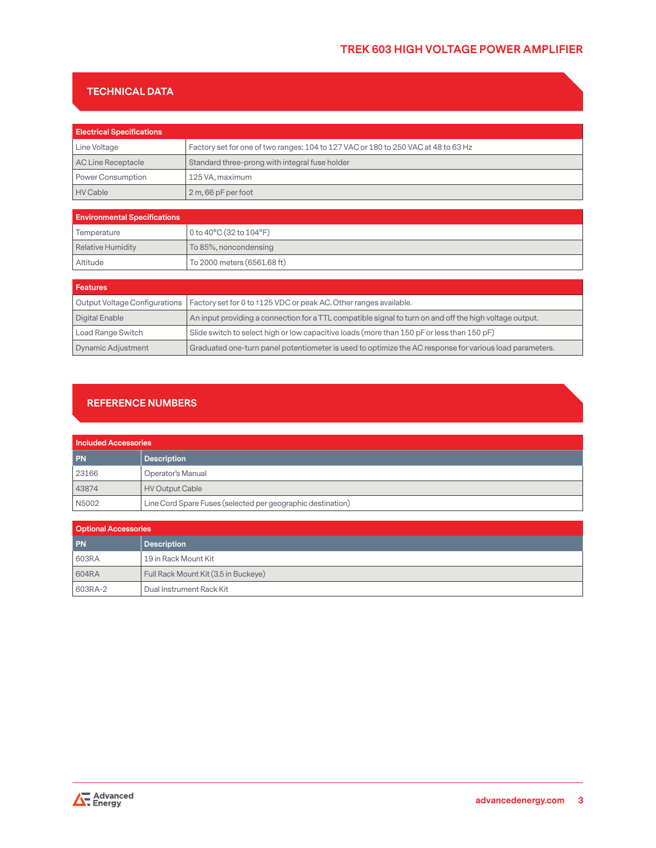# **TREK 603 HIGH VOLTAGE POWER AMPLIFIER**

# **TECHNICAL DATA**

| <b>Electrical Specifications</b> |                                                                                    |
|----------------------------------|------------------------------------------------------------------------------------|
| Line Voltage                     | Factory set for one of two ranges: 104 to 127 VAC or 180 to 250 VAC at 48 to 63 Hz |
| AC Line Receptacle               | Standard three-prong with integral fuse holder                                     |
| Power Consumption                | 125 VA. maximum                                                                    |
| HV Cable                         | $2m,66$ pF per foot                                                                |

| <b>Environmental Specifications</b> |                                             |
|-------------------------------------|---------------------------------------------|
| Temperature                         | 0 to $40^{\circ}$ C (32 to $104^{\circ}$ F) |
| Relative Humidity                   | To 85%, noncondensing                       |
| Altitude                            | To 2000 meters (6561.68 ft)                 |

| <b>Features</b>               |                                                                                                         |
|-------------------------------|---------------------------------------------------------------------------------------------------------|
| Output Voltage Configurations | Factory set for 0 to ±125 VDC or peak AC. Other ranges available.                                       |
| Digital Enable                | An input providing a connection for a TTL compatible signal to turn on and off the high voltage output. |
| Load Range Switch             | Slide switch to select high or low capacitive loads (more than 150 pF or less than 150 pF)              |
| Dynamic Adjustment            | Graduated one-turn panel potentiometer is used to optimize the AC response for various load parameters. |

## **REFERENCE NUMBERS**

| <b>Included Accessories</b> |                                                             |
|-----------------------------|-------------------------------------------------------------|
| PN                          | <b>Description</b>                                          |
| 23166                       | Operator's Manual                                           |
| 43874                       | HV Output Cable                                             |
| N5002                       | Line Cord Spare Fuses (selected per geographic destination) |

| <b>Optional Accessories</b> |                                      |
|-----------------------------|--------------------------------------|
| <b>PN</b>                   | <b>Description</b>                   |
| 603RA                       | 19 in Rack Mount Kit                 |
| 604RA                       | Full Rack Mount Kit (3.5 in Buckeye) |
| 603RA-2                     | Dual Instrument Rack Kit             |